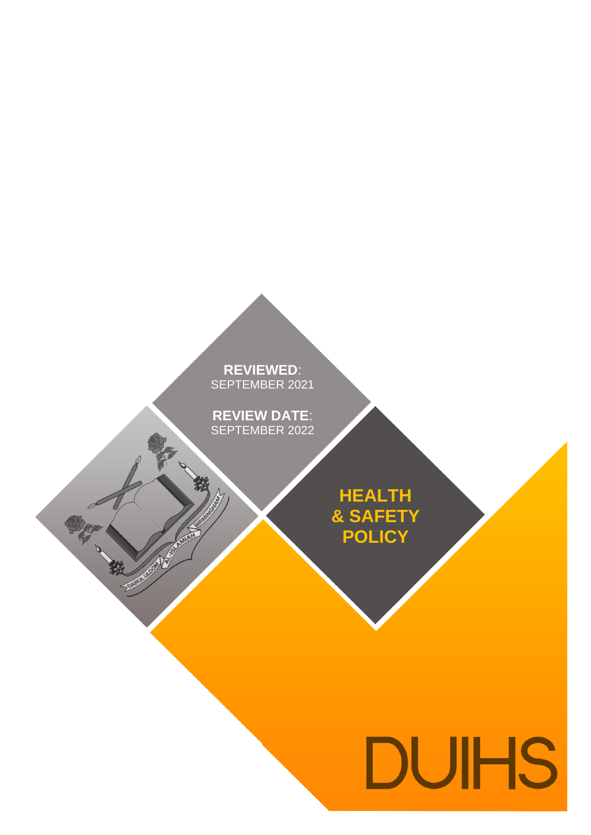**REVIEWED**: **REVIEWED**: SEPTEMBER 2021

**REVIEW DATE**: **REVIEW DATE**: SEPTEMBER 2022

襟

中村、筑

**ANGER** 

**HEALTH & SAFETY POLICY**

# DUIHS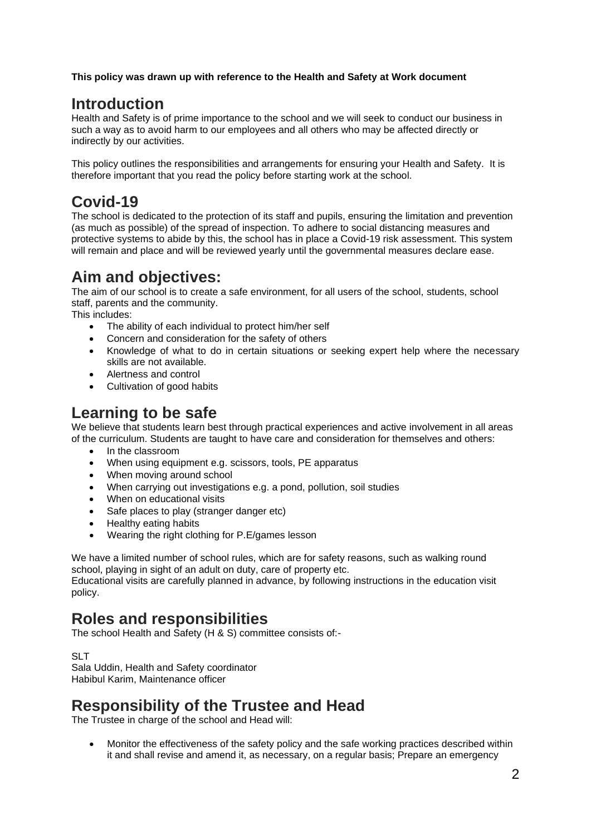**This policy was drawn up with reference to the Health and Safety at Work document** 

## **Introduction**

Health and Safety is of prime importance to the school and we will seek to conduct our business in such a way as to avoid harm to our employees and all others who may be affected directly or indirectly by our activities.

This policy outlines the responsibilities and arrangements for ensuring your Health and Safety. It is therefore important that you read the policy before starting work at the school.

## **Covid-19**

The school is dedicated to the protection of its staff and pupils, ensuring the limitation and prevention (as much as possible) of the spread of inspection. To adhere to social distancing measures and protective systems to abide by this, the school has in place a Covid-19 risk assessment. This system will remain and place and will be reviewed yearly until the governmental measures declare ease.

## **Aim and objectives:**

The aim of our school is to create a safe environment, for all users of the school, students, school staff, parents and the community.

This includes:

- The ability of each individual to protect him/her self
- Concern and consideration for the safety of others
- Knowledge of what to do in certain situations or seeking expert help where the necessary skills are not available.
- Alertness and control
- Cultivation of good habits

## **Learning to be safe**

We believe that students learn best through practical experiences and active involvement in all areas of the curriculum. Students are taught to have care and consideration for themselves and others:

- In the classroom
- When using equipment e.g. scissors, tools, PE apparatus
- When moving around school
- When carrying out investigations e.g. a pond, pollution, soil studies
- When on educational visits
- Safe places to play (stranger danger etc)
- Healthy eating habits
- Wearing the right clothing for P.E/games lesson

We have a limited number of school rules, which are for safety reasons, such as walking round school, playing in sight of an adult on duty, care of property etc.

Educational visits are carefully planned in advance, by following instructions in the education visit policy.

## **Roles and responsibilities**

The school Health and Safety (H & S) committee consists of:-

SLT

Sala Uddin, Health and Safety coordinator Habibul Karim, Maintenance officer

## **Responsibility of the Trustee and Head**

The Trustee in charge of the school and Head will:

• Monitor the effectiveness of the safety policy and the safe working practices described within it and shall revise and amend it, as necessary, on a regular basis; Prepare an emergency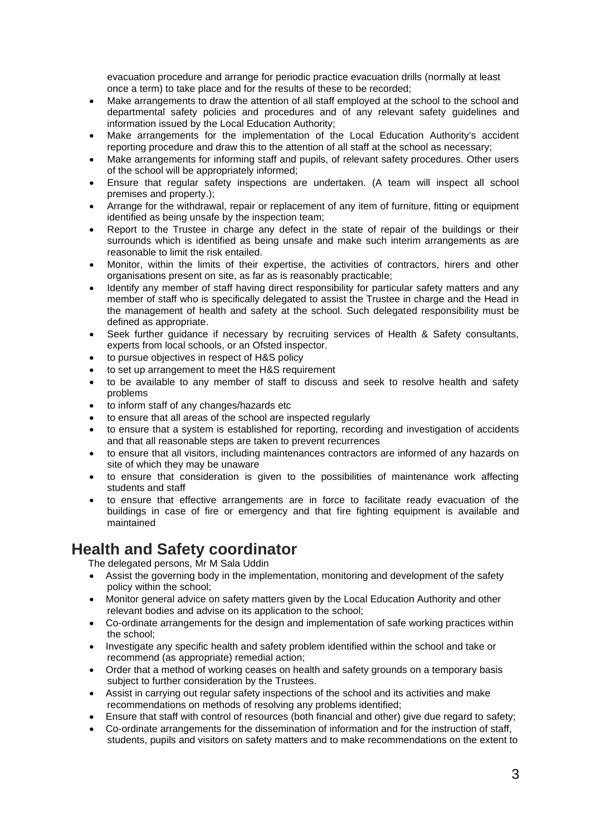evacuation procedure and arrange for periodic practice evacuation drills (normally at least once a term) to take place and for the results of these to be recorded;

- Make arrangements to draw the attention of all staff employed at the school to the school and departmental safety policies and procedures and of any relevant safety guidelines and information issued by the Local Education Authority;
- Make arrangements for the implementation of the Local Education Authority's accident reporting procedure and draw this to the attention of all staff at the school as necessary;
- Make arrangements for informing staff and pupils, of relevant safety procedures. Other users of the school will be appropriately informed;
- Ensure that regular safety inspections are undertaken. (A team will inspect all school premises and property.);
- Arrange for the withdrawal, repair or replacement of any item of furniture, fitting or equipment identified as being unsafe by the inspection team;
- Report to the Trustee in charge any defect in the state of repair of the buildings or their surrounds which is identified as being unsafe and make such interim arrangements as are reasonable to limit the risk entailed.
- Monitor, within the limits of their expertise, the activities of contractors, hirers and other organisations present on site, as far as is reasonably practicable;
- Identify any member of staff having direct responsibility for particular safety matters and any member of staff who is specifically delegated to assist the Trustee in charge and the Head in the management of health and safety at the school. Such delegated responsibility must be defined as appropriate.
- Seek further guidance if necessary by recruiting services of Health & Safety consultants, experts from local schools, or an Ofsted inspector.
- to pursue objectives in respect of H&S policy
- to set up arrangement to meet the H&S requirement
- to be available to any member of staff to discuss and seek to resolve health and safety problems
- to inform staff of any changes/hazards etc
- to ensure that all areas of the school are inspected regularly
- to ensure that a system is established for reporting, recording and investigation of accidents and that all reasonable steps are taken to prevent recurrences
- to ensure that all visitors, including maintenances contractors are informed of any hazards on site of which they may be unaware
- to ensure that consideration is given to the possibilities of maintenance work affecting students and staff
- to ensure that effective arrangements are in force to facilitate ready evacuation of the buildings in case of fire or emergency and that fire fighting equipment is available and maintained

## **Health and Safety coordinator**

The delegated persons, Mr M Sala Uddin

- Assist the governing body in the implementation, monitoring and development of the safety policy within the school;
- Monitor general advice on safety matters given by the Local Education Authority and other relevant bodies and advise on its application to the school;
- Co-ordinate arrangements for the design and implementation of safe working practices within the school;
- Investigate any specific health and safety problem identified within the school and take or recommend (as appropriate) remedial action;
- Order that a method of working ceases on health and safety grounds on a temporary basis subject to further consideration by the Trustees.
- Assist in carrying out regular safety inspections of the school and its activities and make recommendations on methods of resolving any problems identified;
- Ensure that staff with control of resources (both financial and other) give due regard to safety;
- Co-ordinate arrangements for the dissemination of information and for the instruction of staff, students, pupils and visitors on safety matters and to make recommendations on the extent to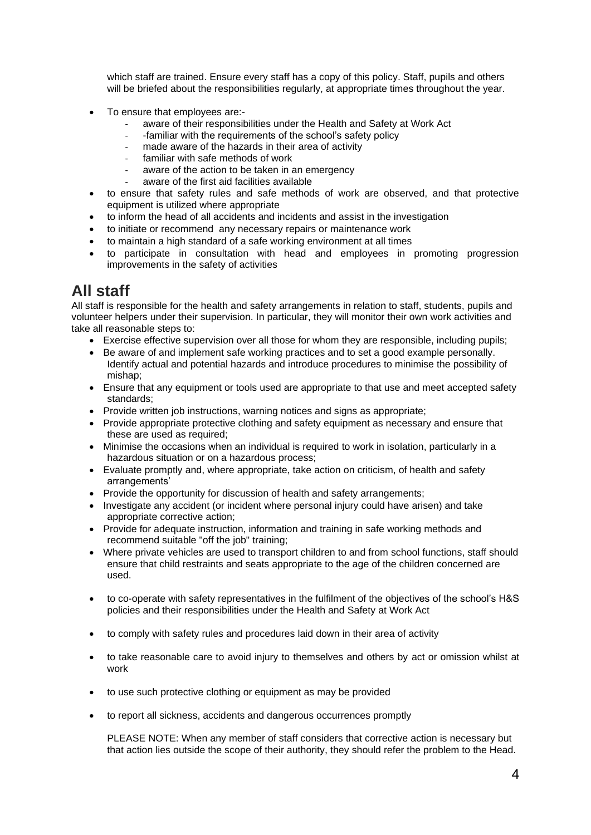which staff are trained. Ensure every staff has a copy of this policy. Staff, pupils and others will be briefed about the responsibilities regularly, at appropriate times throughout the year.

- To ensure that employees are:
	- aware of their responsibilities under the Health and Safety at Work Act
	- -familiar with the requirements of the school's safety policy
	- made aware of the hazards in their area of activity
	- familiar with safe methods of work
	- aware of the action to be taken in an emergency
	- aware of the first aid facilities available
- to ensure that safety rules and safe methods of work are observed, and that protective equipment is utilized where appropriate
- to inform the head of all accidents and incidents and assist in the investigation
- to initiate or recommend any necessary repairs or maintenance work
- to maintain a high standard of a safe working environment at all times
- to participate in consultation with head and employees in promoting progression improvements in the safety of activities

## **All staff**

All staff is responsible for the health and safety arrangements in relation to staff, students, pupils and volunteer helpers under their supervision. In particular, they will monitor their own work activities and take all reasonable steps to:

- Exercise effective supervision over all those for whom they are responsible, including pupils;
- Be aware of and implement safe working practices and to set a good example personally. Identify actual and potential hazards and introduce procedures to minimise the possibility of mishap;
- Ensure that any equipment or tools used are appropriate to that use and meet accepted safety standards;
- Provide written job instructions, warning notices and signs as appropriate:
- Provide appropriate protective clothing and safety equipment as necessary and ensure that these are used as required;
- Minimise the occasions when an individual is required to work in isolation, particularly in a hazardous situation or on a hazardous process;
- Evaluate promptly and, where appropriate, take action on criticism, of health and safety arrangements'
- Provide the opportunity for discussion of health and safety arrangements;
- Investigate any accident (or incident where personal injury could have arisen) and take appropriate corrective action;
- Provide for adequate instruction, information and training in safe working methods and recommend suitable "off the job" training;
- Where private vehicles are used to transport children to and from school functions, staff should ensure that child restraints and seats appropriate to the age of the children concerned are used.
- to co-operate with safety representatives in the fulfilment of the objectives of the school's H&S policies and their responsibilities under the Health and Safety at Work Act
- to comply with safety rules and procedures laid down in their area of activity
- to take reasonable care to avoid injury to themselves and others by act or omission whilst at work
- to use such protective clothing or equipment as may be provided
- to report all sickness, accidents and dangerous occurrences promptly

PLEASE NOTE: When any member of staff considers that corrective action is necessary but that action lies outside the scope of their authority, they should refer the problem to the Head.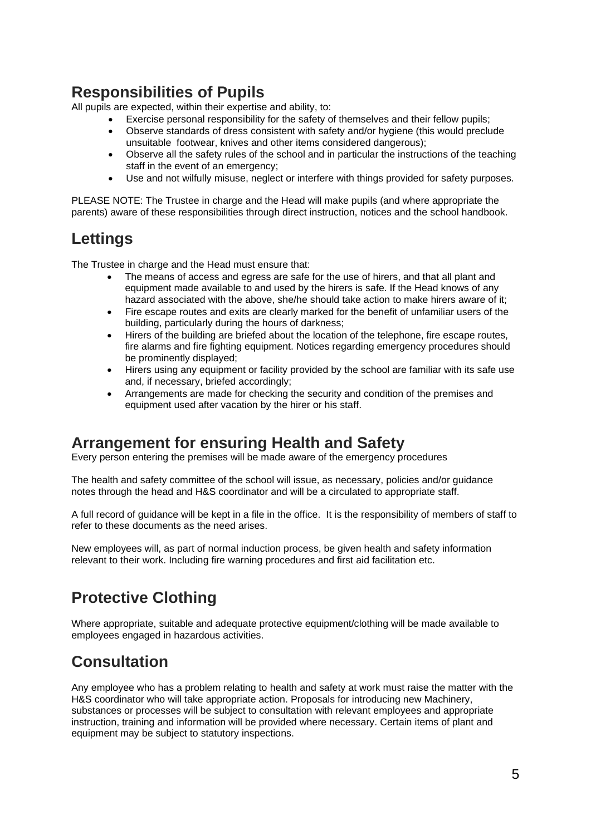## **Responsibilities of Pupils**

All pupils are expected, within their expertise and ability, to:

- Exercise personal responsibility for the safety of themselves and their fellow pupils;
- Observe standards of dress consistent with safety and/or hygiene (this would preclude unsuitable footwear, knives and other items considered dangerous);
- Observe all the safety rules of the school and in particular the instructions of the teaching staff in the event of an emergency;
- Use and not wilfully misuse, neglect or interfere with things provided for safety purposes.

PLEASE NOTE: The Trustee in charge and the Head will make pupils (and where appropriate the parents) aware of these responsibilities through direct instruction, notices and the school handbook.

## **Lettings**

The Trustee in charge and the Head must ensure that:

- The means of access and egress are safe for the use of hirers, and that all plant and equipment made available to and used by the hirers is safe. If the Head knows of any hazard associated with the above, she/he should take action to make hirers aware of it;
- Fire escape routes and exits are clearly marked for the benefit of unfamiliar users of the building, particularly during the hours of darkness;
- Hirers of the building are briefed about the location of the telephone, fire escape routes, fire alarms and fire fighting equipment. Notices regarding emergency procedures should be prominently displayed;
- Hirers using any equipment or facility provided by the school are familiar with its safe use and, if necessary, briefed accordingly;
- Arrangements are made for checking the security and condition of the premises and equipment used after vacation by the hirer or his staff.

## **Arrangement for ensuring Health and Safety**

Every person entering the premises will be made aware of the emergency procedures

The health and safety committee of the school will issue, as necessary, policies and/or guidance notes through the head and H&S coordinator and will be a circulated to appropriate staff.

A full record of guidance will be kept in a file in the office. It is the responsibility of members of staff to refer to these documents as the need arises.

New employees will, as part of normal induction process, be given health and safety information relevant to their work. Including fire warning procedures and first aid facilitation etc.

## **Protective Clothing**

Where appropriate, suitable and adequate protective equipment/clothing will be made available to employees engaged in hazardous activities.

## **Consultation**

Any employee who has a problem relating to health and safety at work must raise the matter with the H&S coordinator who will take appropriate action. Proposals for introducing new Machinery, substances or processes will be subject to consultation with relevant employees and appropriate instruction, training and information will be provided where necessary. Certain items of plant and equipment may be subject to statutory inspections.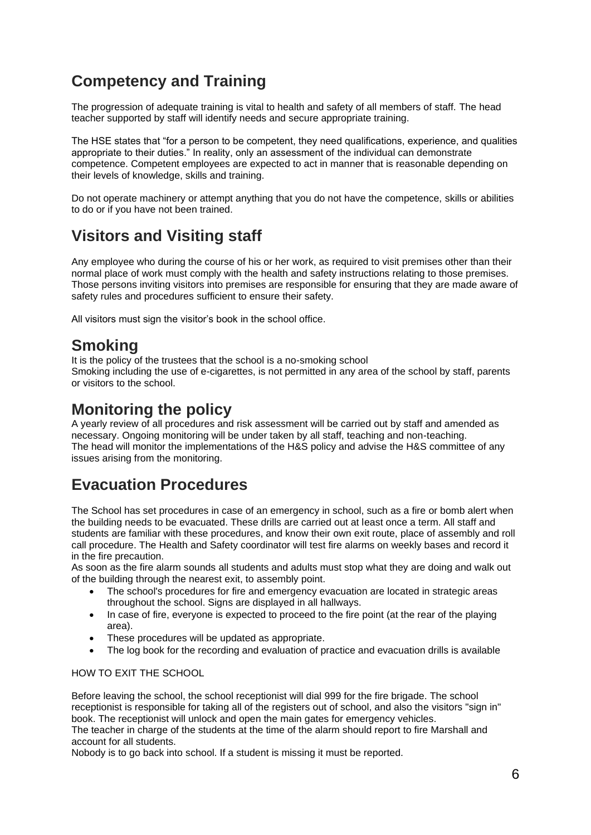## **Competency and Training**

The progression of adequate training is vital to health and safety of all members of staff. The head teacher supported by staff will identify needs and secure appropriate training.

The HSE states that "for a person to be competent, they need qualifications, experience, and qualities appropriate to their duties." In reality, only an assessment of the individual can demonstrate competence. Competent employees are expected to act in manner that is reasonable depending on their levels of knowledge, skills and training.

Do not operate machinery or attempt anything that you do not have the competence, skills or abilities to do or if you have not been trained.

## **Visitors and Visiting staff**

Any employee who during the course of his or her work, as required to visit premises other than their normal place of work must comply with the health and safety instructions relating to those premises. Those persons inviting visitors into premises are responsible for ensuring that they are made aware of safety rules and procedures sufficient to ensure their safety.

All visitors must sign the visitor's book in the school office.

## **Smoking**

It is the policy of the trustees that the school is a no-smoking school

Smoking including the use of e-cigarettes, is not permitted in any area of the school by staff, parents or visitors to the school.

## **Monitoring the policy**

A yearly review of all procedures and risk assessment will be carried out by staff and amended as necessary. Ongoing monitoring will be under taken by all staff, teaching and non-teaching. The head will monitor the implementations of the H&S policy and advise the H&S committee of any issues arising from the monitoring.

## **Evacuation Procedures**

The School has set procedures in case of an emergency in school, such as a fire or bomb alert when the building needs to be evacuated. These drills are carried out at least once a term. All staff and students are familiar with these procedures, and know their own exit route, place of assembly and roll call procedure. The Health and Safety coordinator will test fire alarms on weekly bases and record it in the fire precaution.

As soon as the fire alarm sounds all students and adults must stop what they are doing and walk out of the building through the nearest exit, to assembly point.

- The school's procedures for fire and emergency evacuation are located in strategic areas throughout the school. Signs are displayed in all hallways.
- In case of fire, everyone is expected to proceed to the fire point (at the rear of the playing area).
- These procedures will be updated as appropriate.
- The log book for the recording and evaluation of practice and evacuation drills is available

#### HOW TO EXIT THE SCHOOL

Before leaving the school, the school receptionist will dial 999 for the fire brigade. The school receptionist is responsible for taking all of the registers out of school, and also the visitors "sign in" book. The receptionist will unlock and open the main gates for emergency vehicles. The teacher in charge of the students at the time of the alarm should report to fire Marshall and account for all students.

Nobody is to go back into school. If a student is missing it must be reported.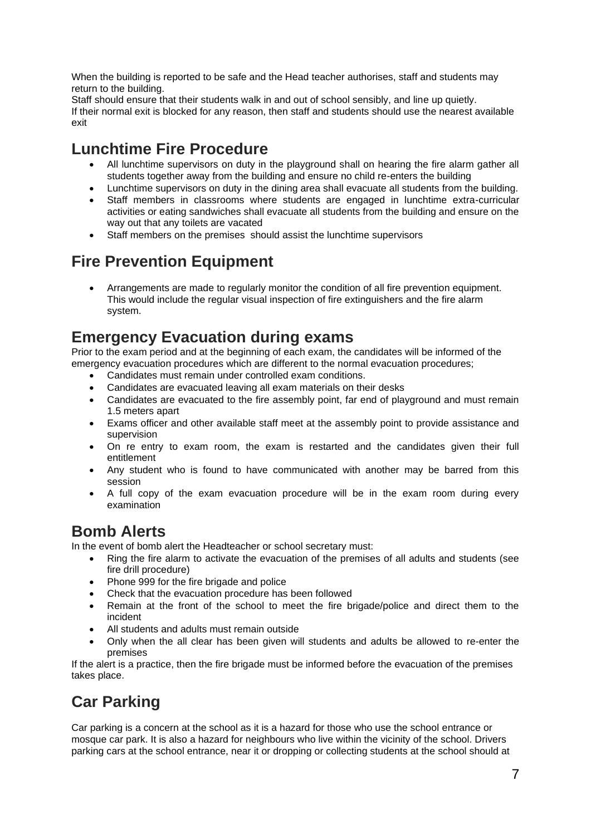When the building is reported to be safe and the Head teacher authorises, staff and students may return to the building.

Staff should ensure that their students walk in and out of school sensibly, and line up quietly. If their normal exit is blocked for any reason, then staff and students should use the nearest available exit

## **Lunchtime Fire Procedure**

- All lunchtime supervisors on duty in the playground shall on hearing the fire alarm gather all students together away from the building and ensure no child re-enters the building
- Lunchtime supervisors on duty in the dining area shall evacuate all students from the building.
- Staff members in classrooms where students are engaged in lunchtime extra-curricular activities or eating sandwiches shall evacuate all students from the building and ensure on the way out that any toilets are vacated
- Staff members on the premises should assist the lunchtime supervisors

## **Fire Prevention Equipment**

• Arrangements are made to regularly monitor the condition of all fire prevention equipment. This would include the regular visual inspection of fire extinguishers and the fire alarm system.

## **Emergency Evacuation during exams**

Prior to the exam period and at the beginning of each exam, the candidates will be informed of the emergency evacuation procedures which are different to the normal evacuation procedures;

- Candidates must remain under controlled exam conditions.
- Candidates are evacuated leaving all exam materials on their desks
- Candidates are evacuated to the fire assembly point, far end of playground and must remain 1.5 meters apart
- Exams officer and other available staff meet at the assembly point to provide assistance and supervision
- On re entry to exam room, the exam is restarted and the candidates given their full entitlement
- Any student who is found to have communicated with another may be barred from this session
- A full copy of the exam evacuation procedure will be in the exam room during every examination

## **Bomb Alerts**

In the event of bomb alert the Headteacher or school secretary must:

- Ring the fire alarm to activate the evacuation of the premises of all adults and students (see fire drill procedure)
- Phone 999 for the fire brigade and police
- Check that the evacuation procedure has been followed
- Remain at the front of the school to meet the fire brigade/police and direct them to the incident
- All students and adults must remain outside
- Only when the all clear has been given will students and adults be allowed to re-enter the premises

If the alert is a practice, then the fire brigade must be informed before the evacuation of the premises takes place.

## **Car Parking**

Car parking is a concern at the school as it is a hazard for those who use the school entrance or mosque car park. It is also a hazard for neighbours who live within the vicinity of the school. Drivers parking cars at the school entrance, near it or dropping or collecting students at the school should at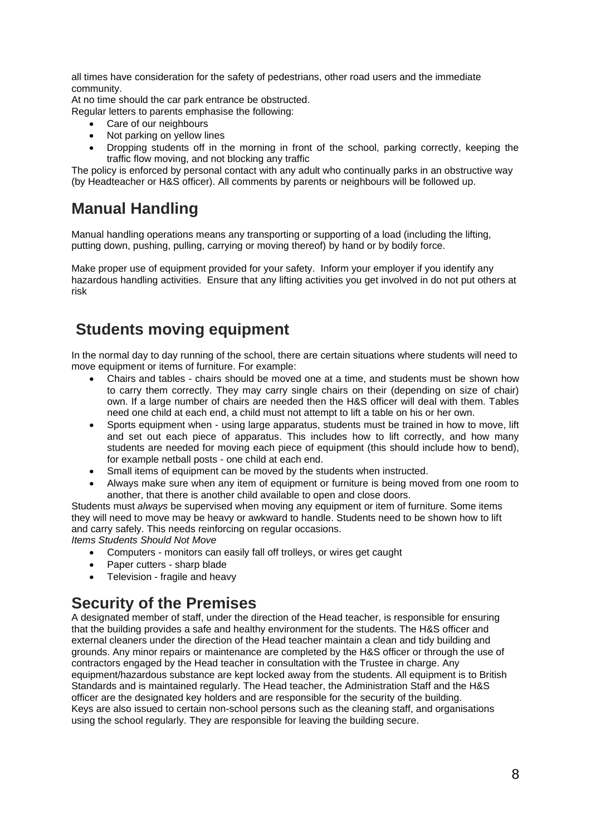all times have consideration for the safety of pedestrians, other road users and the immediate community.

At no time should the car park entrance be obstructed.

Regular letters to parents emphasise the following:

- Care of our neighbours
- Not parking on yellow lines
- Dropping students off in the morning in front of the school, parking correctly, keeping the traffic flow moving, and not blocking any traffic

The policy is enforced by personal contact with any adult who continually parks in an obstructive way (by Headteacher or H&S officer). All comments by parents or neighbours will be followed up.

## **Manual Handling**

Manual handling operations means any transporting or supporting of a load (including the lifting, putting down, pushing, pulling, carrying or moving thereof) by hand or by bodily force.

Make proper use of equipment provided for your safety. Inform your employer if you identify any hazardous handling activities. Ensure that any lifting activities you get involved in do not put others at risk

## **Students moving equipment**

In the normal day to day running of the school, there are certain situations where students will need to move equipment or items of furniture. For example:

- Chairs and tables chairs should be moved one at a time, and students must be shown how to carry them correctly. They may carry single chairs on their (depending on size of chair) own. If a large number of chairs are needed then the H&S officer will deal with them. Tables need one child at each end, a child must not attempt to lift a table on his or her own.
- Sports equipment when using large apparatus, students must be trained in how to move, lift and set out each piece of apparatus. This includes how to lift correctly, and how many students are needed for moving each piece of equipment (this should include how to bend), for example netball posts - one child at each end.
- Small items of equipment can be moved by the students when instructed.
- Always make sure when any item of equipment or furniture is being moved from one room to another, that there is another child available to open and close doors.

Students must *always* be supervised when moving any equipment or item of furniture. Some items they will need to move may be heavy or awkward to handle. Students need to be shown how to lift and carry safely. This needs reinforcing on regular occasions.

*Items Students Should Not Move*

- Computers monitors can easily fall off trolleys, or wires get caught
- Paper cutters sharp blade
- Television fragile and heavy

## **Security of the Premises**

A designated member of staff, under the direction of the Head teacher, is responsible for ensuring that the building provides a safe and healthy environment for the students. The H&S officer and external cleaners under the direction of the Head teacher maintain a clean and tidy building and grounds. Any minor repairs or maintenance are completed by the H&S officer or through the use of contractors engaged by the Head teacher in consultation with the Trustee in charge. Any equipment/hazardous substance are kept locked away from the students. All equipment is to British Standards and is maintained regularly. The Head teacher, the Administration Staff and the H&S officer are the designated key holders and are responsible for the security of the building. Keys are also issued to certain non-school persons such as the cleaning staff, and organisations using the school regularly. They are responsible for leaving the building secure.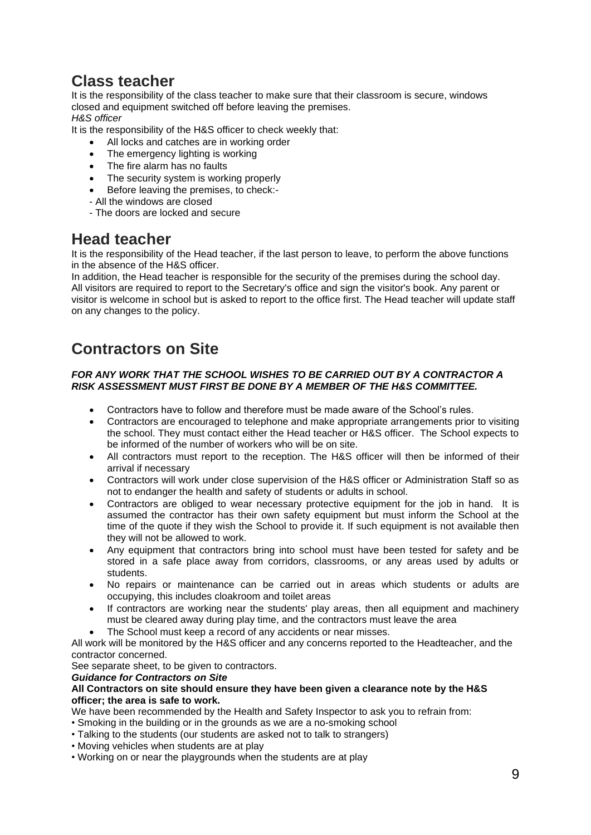## **Class teacher**

It is the responsibility of the class teacher to make sure that their classroom is secure, windows closed and equipment switched off before leaving the premises. *H&S officer* 

It is the responsibility of the H&S officer to check weekly that:

- All locks and catches are in working order
- The emergency lighting is working
- The fire alarm has no faults
- The security system is working properly
- Before leaving the premises, to check:-
- All the windows are closed
- The doors are locked and secure

## **Head teacher**

It is the responsibility of the Head teacher, if the last person to leave, to perform the above functions in the absence of the H&S officer.

In addition, the Head teacher is responsible for the security of the premises during the school day. All visitors are required to report to the Secretary's office and sign the visitor's book. Any parent or visitor is welcome in school but is asked to report to the office first. The Head teacher will update staff on any changes to the policy.

## **Contractors on Site**

#### *FOR ANY WORK THAT THE SCHOOL WISHES TO BE CARRIED OUT BY A CONTRACTOR A RISK ASSESSMENT MUST FIRST BE DONE BY A MEMBER OF THE H&S COMMITTEE.*

- Contractors have to follow and therefore must be made aware of the School's rules.
- Contractors are encouraged to telephone and make appropriate arrangements prior to visiting the school. They must contact either the Head teacher or H&S officer. The School expects to be informed of the number of workers who will be on site.
- All contractors must report to the reception. The H&S officer will then be informed of their arrival if necessary
- Contractors will work under close supervision of the H&S officer or Administration Staff so as not to endanger the health and safety of students or adults in school.
- Contractors are obliged to wear necessary protective equipment for the job in hand. It is assumed the contractor has their own safety equipment but must inform the School at the time of the quote if they wish the School to provide it. If such equipment is not available then they will not be allowed to work.
- Any equipment that contractors bring into school must have been tested for safety and be stored in a safe place away from corridors, classrooms, or any areas used by adults or students.
- No repairs or maintenance can be carried out in areas which students or adults are occupying, this includes cloakroom and toilet areas
- If contractors are working near the students' play areas, then all equipment and machinery must be cleared away during play time, and the contractors must leave the area
- The School must keep a record of any accidents or near misses.

All work will be monitored by the H&S officer and any concerns reported to the Headteacher, and the contractor concerned.

See separate sheet, to be given to contractors.

#### *Guidance for Contractors on Site*

#### **All Contractors on site should ensure they have been given a clearance note by the H&S officer; the area is safe to work.**

We have been recommended by the Health and Safety Inspector to ask you to refrain from:

- Smoking in the building or in the grounds as we are a no-smoking school
- Talking to the students (our students are asked not to talk to strangers)
- Moving vehicles when students are at play
- Working on or near the playgrounds when the students are at play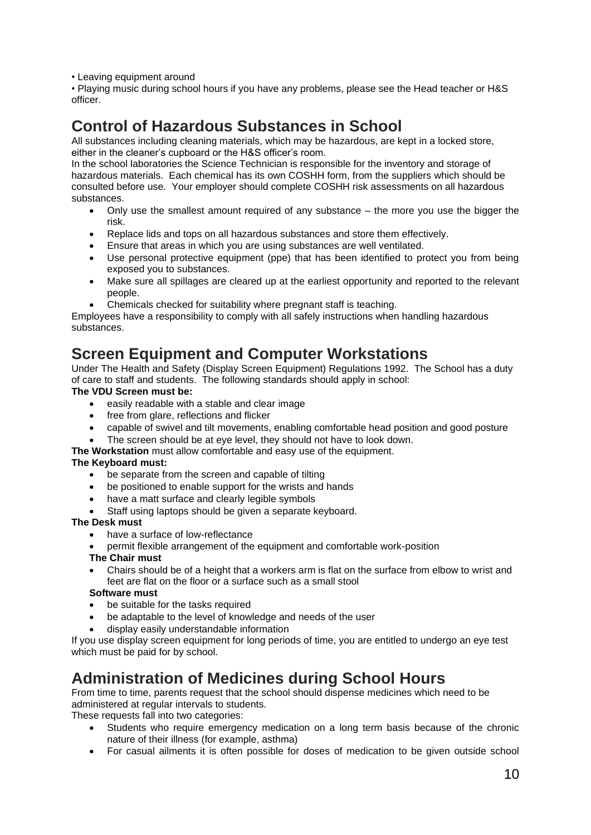• Leaving equipment around

• Playing music during school hours if you have any problems, please see the Head teacher or H&S officer.

## **Control of Hazardous Substances in School**

All substances including cleaning materials, which may be hazardous, are kept in a locked store, either in the cleaner's cupboard or the H&S officer's room.

In the school laboratories the Science Technician is responsible for the inventory and storage of hazardous materials. Each chemical has its own COSHH form, from the suppliers which should be consulted before use. Your employer should complete COSHH risk assessments on all hazardous substances.

- Only use the smallest amount required of any substance the more you use the bigger the risk.
- Replace lids and tops on all hazardous substances and store them effectively.
- Ensure that areas in which you are using substances are well ventilated.
- Use personal protective equipment (ppe) that has been identified to protect you from being exposed you to substances.
- Make sure all spillages are cleared up at the earliest opportunity and reported to the relevant people.
- Chemicals checked for suitability where pregnant staff is teaching.

Employees have a responsibility to comply with all safely instructions when handling hazardous substances.

## **Screen Equipment and Computer Workstations**

Under The Health and Safety (Display Screen Equipment) Regulations 1992. The School has a duty of care to staff and students. The following standards should apply in school:

#### **The VDU Screen must be:**

- easily readable with a stable and clear image
- free from glare, reflections and flicker
- capable of swivel and tilt movements, enabling comfortable head position and good posture
- The screen should be at eye level, they should not have to look down.

#### **The Workstation** must allow comfortable and easy use of the equipment.

#### **The Keyboard must:**

- be separate from the screen and capable of tilting
- be positioned to enable support for the wrists and hands
- have a matt surface and clearly legible symbols
- Staff using laptops should be given a separate keyboard.

#### **The Desk must**

- have a surface of low-reflectance
- permit flexible arrangement of the equipment and comfortable work-position

#### **The Chair must**

• Chairs should be of a height that a workers arm is flat on the surface from elbow to wrist and feet are flat on the floor or a surface such as a small stool

#### **Software must**

- be suitable for the tasks required
- be adaptable to the level of knowledge and needs of the user
- display easily understandable information

If you use display screen equipment for long periods of time, you are entitled to undergo an eye test which must be paid for by school.

## **Administration of Medicines during School Hours**

From time to time, parents request that the school should dispense medicines which need to be administered at regular intervals to students.

These requests fall into two categories:

- Students who require emergency medication on a long term basis because of the chronic nature of their illness (for example, asthma)
- For casual ailments it is often possible for doses of medication to be given outside school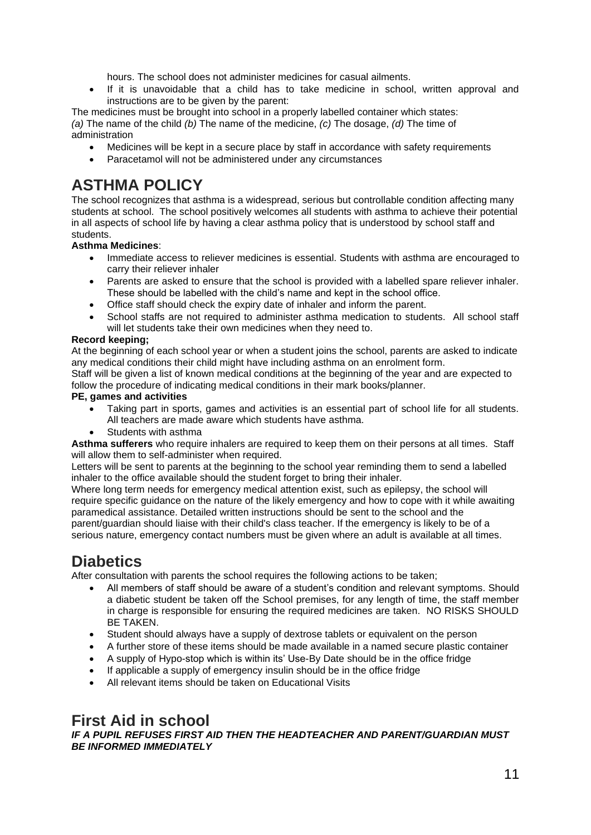hours. The school does not administer medicines for casual ailments.

• If it is unavoidable that a child has to take medicine in school, written approval and instructions are to be given by the parent:

The medicines must be brought into school in a properly labelled container which states: *(a)* The name of the child *(b)* The name of the medicine, *(c)* The dosage, *(d)* The time of administration

- Medicines will be kept in a secure place by staff in accordance with safety requirements
- Paracetamol will not be administered under any circumstances

## **ASTHMA POLICY**

The school recognizes that asthma is a widespread, serious but controllable condition affecting many students at school. The school positively welcomes all students with asthma to achieve their potential in all aspects of school life by having a clear asthma policy that is understood by school staff and students.

#### **Asthma Medicines**:

- Immediate access to reliever medicines is essential. Students with asthma are encouraged to carry their reliever inhaler
- Parents are asked to ensure that the school is provided with a labelled spare reliever inhaler. These should be labelled with the child's name and kept in the school office.
- Office staff should check the expiry date of inhaler and inform the parent.
- School staffs are not required to administer asthma medication to students. All school staff will let students take their own medicines when they need to.

#### **Record keeping;**

At the beginning of each school year or when a student joins the school, parents are asked to indicate any medical conditions their child might have including asthma on an enrolment form.

Staff will be given a list of known medical conditions at the beginning of the year and are expected to follow the procedure of indicating medical conditions in their mark books/planner.

#### **PE, games and activities**

- Taking part in sports, games and activities is an essential part of school life for all students. All teachers are made aware which students have asthma.
- Students with asthma

**Asthma sufferers** who require inhalers are required to keep them on their persons at all times. Staff will allow them to self-administer when required.

Letters will be sent to parents at the beginning to the school year reminding them to send a labelled inhaler to the office available should the student forget to bring their inhaler.

Where long term needs for emergency medical attention exist, such as epilepsy, the school will require specific guidance on the nature of the likely emergency and how to cope with it while awaiting paramedical assistance. Detailed written instructions should be sent to the school and the parent/guardian should liaise with their child's class teacher. If the emergency is likely to be of a serious nature, emergency contact numbers must be given where an adult is available at all times.

## **Diabetics**

After consultation with parents the school requires the following actions to be taken;

- All members of staff should be aware of a student's condition and relevant symptoms. Should a diabetic student be taken off the School premises, for any length of time, the staff member in charge is responsible for ensuring the required medicines are taken. NO RISKS SHOULD BE TAKEN.
- Student should always have a supply of dextrose tablets or equivalent on the person
- A further store of these items should be made available in a named secure plastic container
- A supply of Hypo-stop which is within its' Use-By Date should be in the office fridge
- If applicable a supply of emergency insulin should be in the office fridge
- All relevant items should be taken on Educational Visits

## **First Aid in school**

*IF A PUPIL REFUSES FIRST AID THEN THE HEADTEACHER AND PARENT/GUARDIAN MUST BE INFORMED IMMEDIATELY*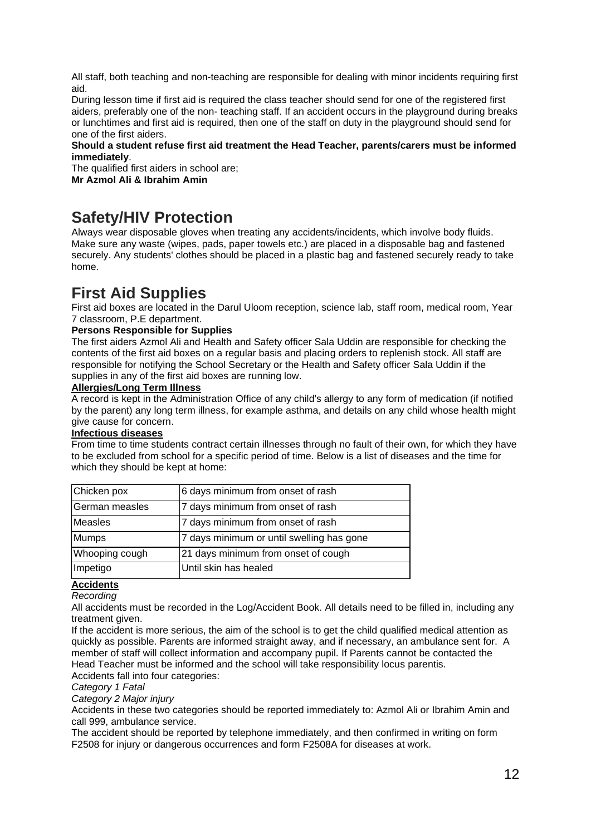All staff, both teaching and non-teaching are responsible for dealing with minor incidents requiring first aid.

During lesson time if first aid is required the class teacher should send for one of the registered first aiders, preferably one of the non- teaching staff. If an accident occurs in the playground during breaks or lunchtimes and first aid is required, then one of the staff on duty in the playground should send for one of the first aiders.

#### **Should a student refuse first aid treatment the Head Teacher, parents/carers must be informed immediately**.

The qualified first aiders in school are;

**Mr Azmol Ali & Ibrahim Amin** 

## **Safety/HIV Protection**

Always wear disposable gloves when treating any accidents/incidents, which involve body fluids. Make sure any waste (wipes, pads, paper towels etc.) are placed in a disposable bag and fastened securely. Any students' clothes should be placed in a plastic bag and fastened securely ready to take home.

## **First Aid Supplies**

First aid boxes are located in the Darul Uloom reception, science lab, staff room, medical room, Year 7 classroom, P.E department.

#### **Persons Responsible for Supplies**

The first aiders Azmol Ali and Health and Safety officer Sala Uddin are responsible for checking the contents of the first aid boxes on a regular basis and placing orders to replenish stock. All staff are responsible for notifying the School Secretary or the Health and Safety officer Sala Uddin if the supplies in any of the first aid boxes are running low.

#### **Allergies/Long Term Illness**

A record is kept in the Administration Office of any child's allergy to any form of medication (if notified by the parent) any long term illness, for example asthma, and details on any child whose health might give cause for concern.

#### **Infectious diseases**

From time to time students contract certain illnesses through no fault of their own, for which they have to be excluded from school for a specific period of time. Below is a list of diseases and the time for which they should be kept at home:

| Chicken pox    | 6 days minimum from onset of rash         |
|----------------|-------------------------------------------|
| German measles | 7 days minimum from onset of rash         |
| <b>Measles</b> | 7 days minimum from onset of rash         |
| <b>Mumps</b>   | 7 days minimum or until swelling has gone |
| Whooping cough | 21 days minimum from onset of cough       |
| Impetigo       | Until skin has healed                     |

#### **Accidents**

*Recording* 

All accidents must be recorded in the Log/Accident Book. All details need to be filled in, including any treatment given.

If the accident is more serious, the aim of the school is to get the child qualified medical attention as quickly as possible. Parents are informed straight away, and if necessary, an ambulance sent for. A member of staff will collect information and accompany pupil. If Parents cannot be contacted the Head Teacher must be informed and the school will take responsibility locus parentis.

Accidents fall into four categories:

*Category 1 Fatal*

*Category 2 Major injury*

Accidents in these two categories should be reported immediately to: Azmol Ali or Ibrahim Amin and call 999, ambulance service.

The accident should be reported by telephone immediately, and then confirmed in writing on form F2508 for injury or dangerous occurrences and form F2508A for diseases at work.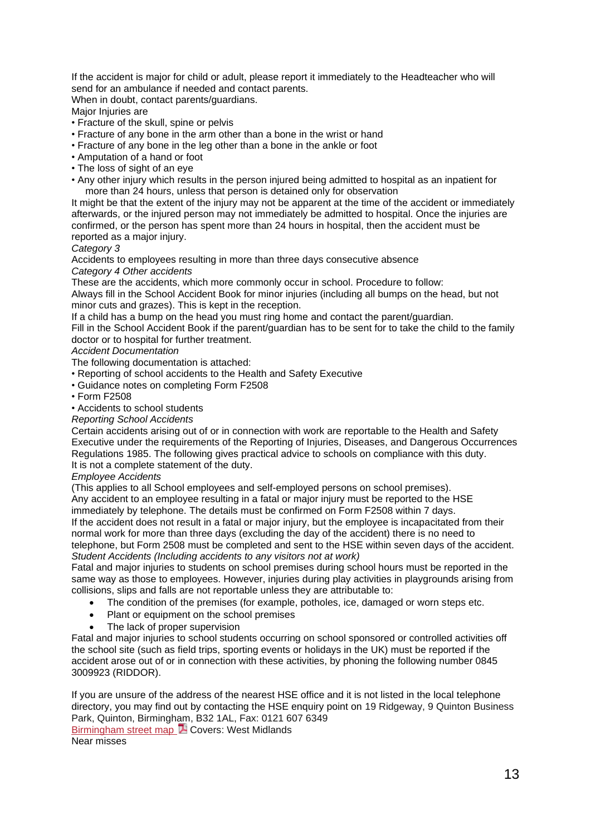If the accident is major for child or adult, please report it immediately to the Headteacher who will send for an ambulance if needed and contact parents.

When in doubt, contact parents/guardians.

Major Injuries are

- Fracture of the skull, spine or pelvis
- Fracture of any bone in the arm other than a bone in the wrist or hand
- Fracture of any bone in the leg other than a bone in the ankle or foot
- Amputation of a hand or foot
- The loss of sight of an eye
- Any other injury which results in the person injured being admitted to hospital as an inpatient for more than 24 hours, unless that person is detained only for observation

It might be that the extent of the injury may not be apparent at the time of the accident or immediately afterwards, or the injured person may not immediately be admitted to hospital. Once the injuries are confirmed, or the person has spent more than 24 hours in hospital, then the accident must be reported as a major injury.

#### *Category 3*

Accidents to employees resulting in more than three days consecutive absence *Category 4 Other accidents*

These are the accidents, which more commonly occur in school. Procedure to follow:

Always fill in the School Accident Book for minor injuries (including all bumps on the head, but not minor cuts and grazes). This is kept in the reception.

If a child has a bump on the head you must ring home and contact the parent/guardian.

Fill in the School Accident Book if the parent/guardian has to be sent for to take the child to the family doctor or to hospital for further treatment.

#### *Accident Documentation*

The following documentation is attached:

- Reporting of school accidents to the Health and Safety Executive
- Guidance notes on completing Form F2508
- Form F2508
- Accidents to school students

#### *Reporting School Accidents*

Certain accidents arising out of or in connection with work are reportable to the Health and Safety Executive under the requirements of the Reporting of Injuries, Diseases, and Dangerous Occurrences Regulations 1985. The following gives practical advice to schools on compliance with this duty. It is not a complete statement of the duty.

#### *Employee Accidents*

(This applies to all School employees and self-employed persons on school premises). Any accident to an employee resulting in a fatal or major injury must be reported to the HSE

immediately by telephone. The details must be confirmed on Form F2508 within 7 days.

If the accident does not result in a fatal or major injury, but the employee is incapacitated from their normal work for more than three days (excluding the day of the accident) there is no need to telephone, but Form 2508 must be completed and sent to the HSE within seven days of the accident.

*Student Accidents (Including accidents to any visitors not at work)* Fatal and major injuries to students on school premises during school hours must be reported in the same way as those to employees. However, injuries during play activities in playgrounds arising from collisions, slips and falls are not reportable unless they are attributable to:

- The condition of the premises (for example, potholes, ice, damaged or worn steps etc.
- Plant or equipment on the school premises
- The lack of proper supervision

Fatal and major injuries to school students occurring on school sponsored or controlled activities off the school site (such as field trips, sporting events or holidays in the UK) must be reported if the accident arose out of or in connection with these activities, by phoning the following number 0845 3009923 (RIDDOR).

If you are unsure of the address of the nearest HSE office and it is not listed in the local telephone directory, you may find out by contacting the HSE enquiry point on 19 Ridgeway, 9 Quinton Business Park, Quinton, Birmingham, B32 1AL, Fax: 0121 607 6349 [Birmingham](http://www.hse.gov.uk/contact/maps/birmingham.pdf) street map **74** Covers: West Midlands Near misses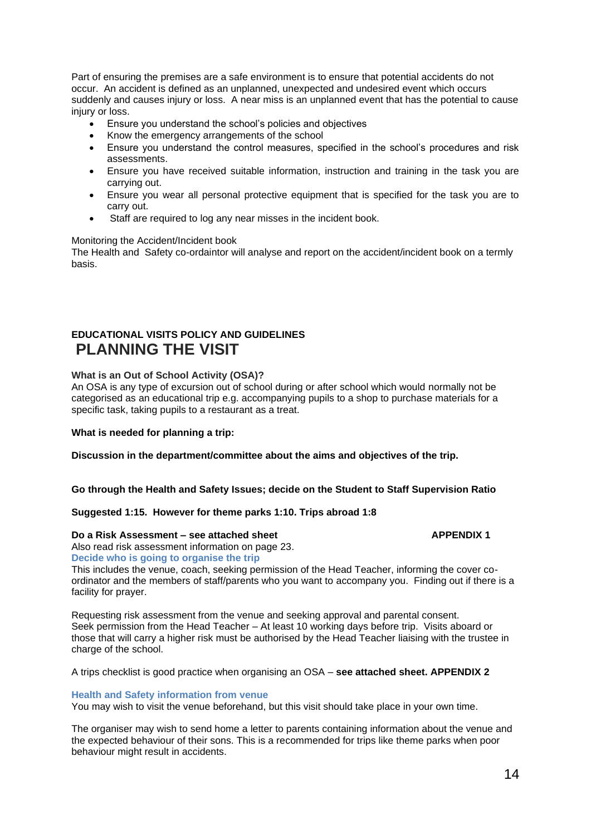Part of ensuring the premises are a safe environment is to ensure that potential accidents do not occur. An accident is defined as an unplanned, unexpected and undesired event which occurs suddenly and causes injury or loss. A near miss is an unplanned event that has the potential to cause injury or loss.

- Ensure you understand the school's policies and objectives
- Know the emergency arrangements of the school
- Ensure you understand the control measures, specified in the school's procedures and risk assessments.
- Ensure you have received suitable information, instruction and training in the task you are carrying out.
- Ensure you wear all personal protective equipment that is specified for the task you are to carry out.
- Staff are required to log any near misses in the incident book.

#### Monitoring the Accident/Incident book

The Health and Safety co-ordaintor will analyse and report on the accident/incident book on a termly basis.

### **EDUCATIONAL VISITS POLICY AND GUIDELINES PLANNING THE VISIT**

#### **What is an Out of School Activity (OSA)?**

An OSA is any type of excursion out of school during or after school which would normally not be categorised as an educational trip e.g. accompanying pupils to a shop to purchase materials for a specific task, taking pupils to a restaurant as a treat.

#### **What is needed for planning a trip:**

**Discussion in the department/committee about the aims and objectives of the trip.**

**Go through the Health and Safety Issues; decide on the Student to Staff Supervision Ratio**

#### **Suggested 1:15. However for theme parks 1:10. Trips abroad 1:8**

#### **Do a Risk Assessment – see attached sheet APPENDIX 1**

Also read risk assessment information on page 23. **Decide who is going to organise the trip**

This includes the venue, coach, seeking permission of the Head Teacher, informing the cover coordinator and the members of staff/parents who you want to accompany you. Finding out if there is a facility for prayer.

Requesting risk assessment from the venue and seeking approval and parental consent. Seek permission from the Head Teacher – At least 10 working days before trip. Visits aboard or those that will carry a higher risk must be authorised by the Head Teacher liaising with the trustee in charge of the school.

A trips checklist is good practice when organising an OSA – **see attached sheet. APPENDIX 2**

#### **Health and Safety information from venue**

You may wish to visit the venue beforehand, but this visit should take place in your own time.

The organiser may wish to send home a letter to parents containing information about the venue and the expected behaviour of their sons. This is a recommended for trips like theme parks when poor behaviour might result in accidents.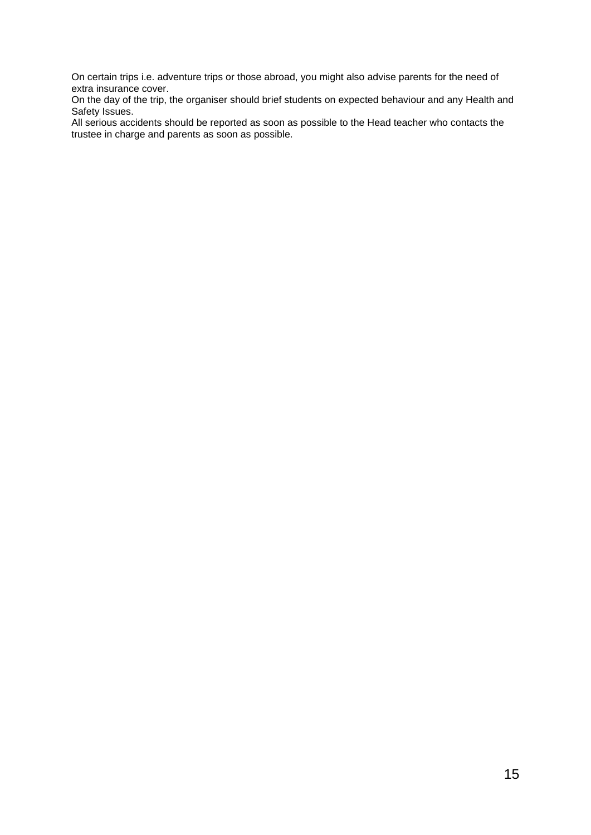On certain trips i.e. adventure trips or those abroad, you might also advise parents for the need of extra insurance cover.

On the day of the trip, the organiser should brief students on expected behaviour and any Health and Safety Issues.

All serious accidents should be reported as soon as possible to the Head teacher who contacts the trustee in charge and parents as soon as possible.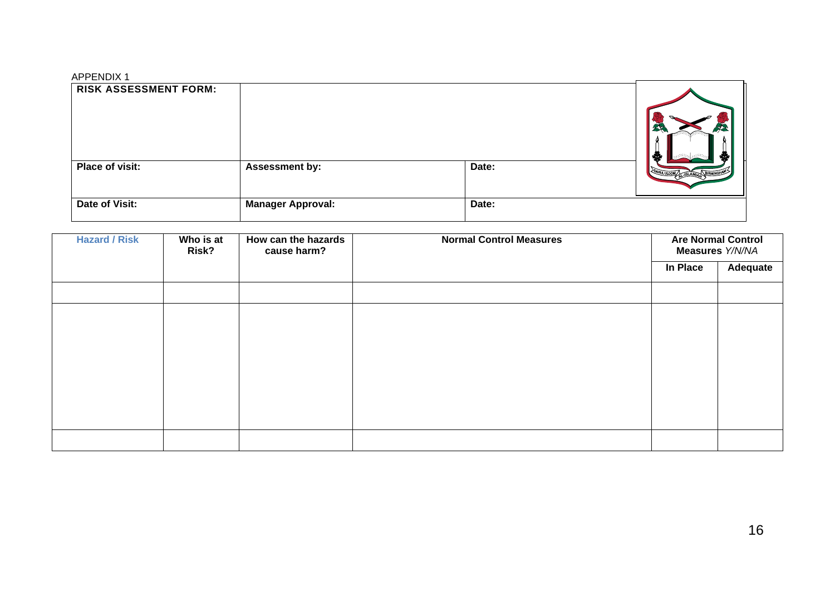#### APPENDIX 1

| <b>RISK ASSESSMENT FORM:</b> |                          |       | ♣                         |
|------------------------------|--------------------------|-------|---------------------------|
| Place of visit:              | <b>Assessment by:</b>    | Date: | UL ULOOM ISLAMIA BIRMINGH |
| Date of Visit:               | <b>Manager Approval:</b> | Date: |                           |

| <b>Hazard / Risk</b> | Who is at<br>Risk? | How can the hazards<br>cause harm? | <b>Normal Control Measures</b> | <b>Are Normal Control</b><br>Measures Y/N/NA |          |
|----------------------|--------------------|------------------------------------|--------------------------------|----------------------------------------------|----------|
|                      |                    |                                    |                                | In Place                                     | Adequate |
|                      |                    |                                    |                                |                                              |          |
|                      |                    |                                    |                                |                                              |          |
|                      |                    |                                    |                                |                                              |          |
|                      |                    |                                    |                                |                                              |          |
|                      |                    |                                    |                                |                                              |          |
|                      |                    |                                    |                                |                                              |          |
|                      |                    |                                    |                                |                                              |          |
|                      |                    |                                    |                                |                                              |          |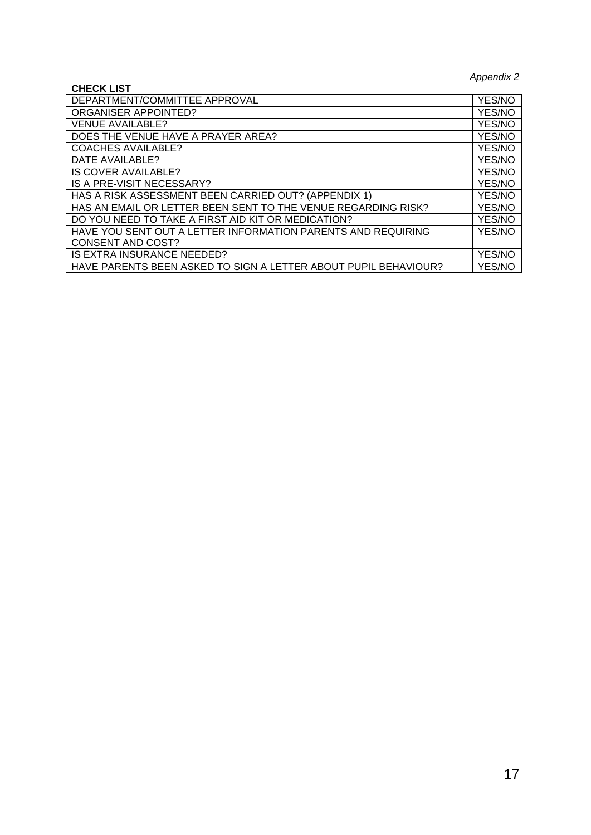*Appendix 2*

| <b>CHECK LIST</b>                                               | $\mu$  |
|-----------------------------------------------------------------|--------|
| DEPARTMENT/COMMITTEE APPROVAL                                   | YES/NO |
| <b>ORGANISER APPOINTED?</b>                                     | YES/NO |
| VENUE AVAILABLE?                                                | YES/NO |
| DOES THE VENUE HAVE A PRAYER AREA?                              | YES/NO |
| <b>COACHES AVAILABLE?</b>                                       | YES/NO |
| DATE AVAILABLE?                                                 | YES/NO |
| IS COVER AVAILABLE?                                             | YES/NO |
| IS A PRE-VISIT NECESSARY?                                       | YES/NO |
| HAS A RISK ASSESSMENT BEEN CARRIED OUT? (APPENDIX 1)            | YES/NO |
| HAS AN EMAIL OR LETTER BEEN SENT TO THE VENUE REGARDING RISK?   | YES/NO |
| DO YOU NEED TO TAKE A FIRST AID KIT OR MEDICATION?              | YES/NO |
| HAVE YOU SENT OUT A LETTER INFORMATION PARENTS AND REQUIRING    | YES/NO |
| <b>CONSENT AND COST?</b>                                        |        |
| IS EXTRA INSURANCE NEEDED?                                      | YES/NO |
| HAVE PARENTS BEEN ASKED TO SIGN A LETTER ABOUT PUPIL BEHAVIOUR? | YES/NO |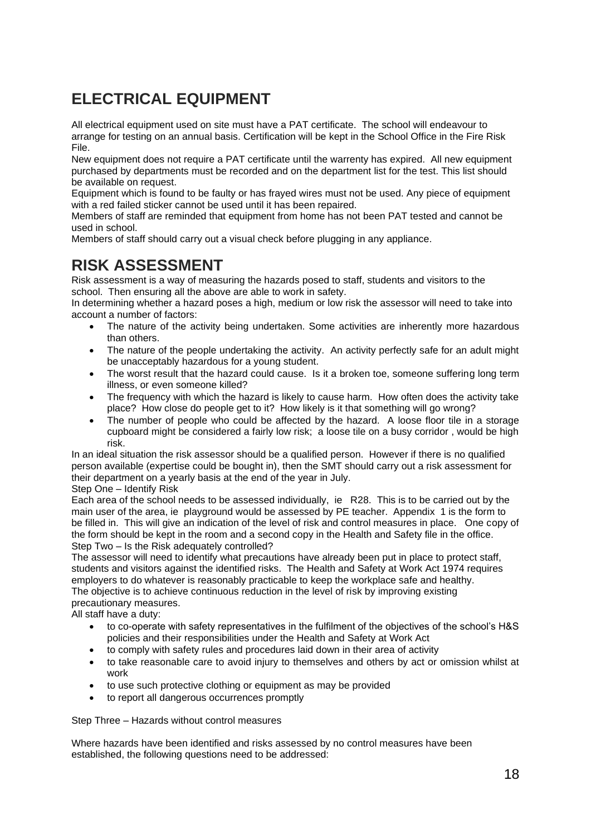## **ELECTRICAL EQUIPMENT**

All electrical equipment used on site must have a PAT certificate. The school will endeavour to arrange for testing on an annual basis. Certification will be kept in the School Office in the Fire Risk File.

New equipment does not require a PAT certificate until the warrenty has expired. All new equipment purchased by departments must be recorded and on the department list for the test. This list should be available on request.

Equipment which is found to be faulty or has frayed wires must not be used. Any piece of equipment with a red failed sticker cannot be used until it has been repaired.

Members of staff are reminded that equipment from home has not been PAT tested and cannot be used in school.

Members of staff should carry out a visual check before plugging in any appliance.

## **RISK ASSESSMENT**

Risk assessment is a way of measuring the hazards posed to staff, students and visitors to the school. Then ensuring all the above are able to work in safety.

In determining whether a hazard poses a high, medium or low risk the assessor will need to take into account a number of factors:

- The nature of the activity being undertaken. Some activities are inherently more hazardous than others.
- The nature of the people undertaking the activity. An activity perfectly safe for an adult might be unacceptably hazardous for a young student.
- The worst result that the hazard could cause. Is it a broken toe, someone suffering long term illness, or even someone killed?
- The frequency with which the hazard is likely to cause harm. How often does the activity take place? How close do people get to it? How likely is it that something will go wrong?
- The number of people who could be affected by the hazard. A loose floor tile in a storage cupboard might be considered a fairly low risk; a loose tile on a busy corridor , would be high risk.

In an ideal situation the risk assessor should be a qualified person. However if there is no qualified person available (expertise could be bought in), then the SMT should carry out a risk assessment for their department on a yearly basis at the end of the year in July.

#### Step One – Identify Risk

Each area of the school needs to be assessed individually, ie R28. This is to be carried out by the main user of the area, ie playground would be assessed by PE teacher. Appendix 1 is the form to be filled in. This will give an indication of the level of risk and control measures in place. One copy of the form should be kept in the room and a second copy in the Health and Safety file in the office. Step Two – Is the Risk adequately controlled?

The assessor will need to identify what precautions have already been put in place to protect staff, students and visitors against the identified risks. The Health and Safety at Work Act 1974 requires employers to do whatever is reasonably practicable to keep the workplace safe and healthy. The objective is to achieve continuous reduction in the level of risk by improving existing precautionary measures.

All staff have a duty:

- to co-operate with safety representatives in the fulfilment of the objectives of the school's H&S policies and their responsibilities under the Health and Safety at Work Act
- to comply with safety rules and procedures laid down in their area of activity
- to take reasonable care to avoid injury to themselves and others by act or omission whilst at work
- to use such protective clothing or equipment as may be provided
- to report all dangerous occurrences promptly

Step Three – Hazards without control measures

Where hazards have been identified and risks assessed by no control measures have been established, the following questions need to be addressed: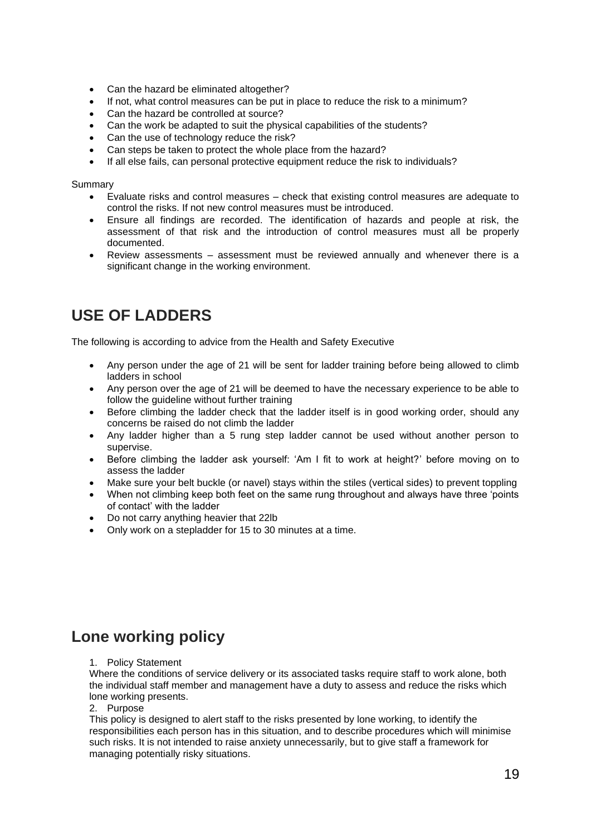- Can the hazard be eliminated altogether?
- If not, what control measures can be put in place to reduce the risk to a minimum?
- Can the hazard be controlled at source?
- Can the work be adapted to suit the physical capabilities of the students?
- Can the use of technology reduce the risk?
- Can steps be taken to protect the whole place from the hazard?
- If all else fails, can personal protective equipment reduce the risk to individuals?

Summary

- Evaluate risks and control measures check that existing control measures are adequate to control the risks. If not new control measures must be introduced.
- Ensure all findings are recorded. The identification of hazards and people at risk, the assessment of that risk and the introduction of control measures must all be properly documented.
- Review assessments assessment must be reviewed annually and whenever there is a significant change in the working environment.

## **USE OF LADDERS**

The following is according to advice from the Health and Safety Executive

- Any person under the age of 21 will be sent for ladder training before being allowed to climb ladders in school
- Any person over the age of 21 will be deemed to have the necessary experience to be able to follow the guideline without further training
- Before climbing the ladder check that the ladder itself is in good working order, should any concerns be raised do not climb the ladder
- Any ladder higher than a 5 rung step ladder cannot be used without another person to supervise.
- Before climbing the ladder ask yourself: 'Am I fit to work at height?' before moving on to assess the ladder
- Make sure your belt buckle (or navel) stays within the stiles (vertical sides) to prevent toppling
- When not climbing keep both feet on the same rung throughout and always have three 'points of contact' with the ladder
- Do not carry anything heavier that 22lb
- Only work on a stepladder for 15 to 30 minutes at a time.

## **Lone working policy**

#### 1. Policy Statement

Where the conditions of service delivery or its associated tasks require staff to work alone, both the individual staff member and management have a duty to assess and reduce the risks which lone working presents.

2. Purpose

This policy is designed to alert staff to the risks presented by lone working, to identify the responsibilities each person has in this situation, and to describe procedures which will minimise such risks. It is not intended to raise anxiety unnecessarily, but to give staff a framework for managing potentially risky situations.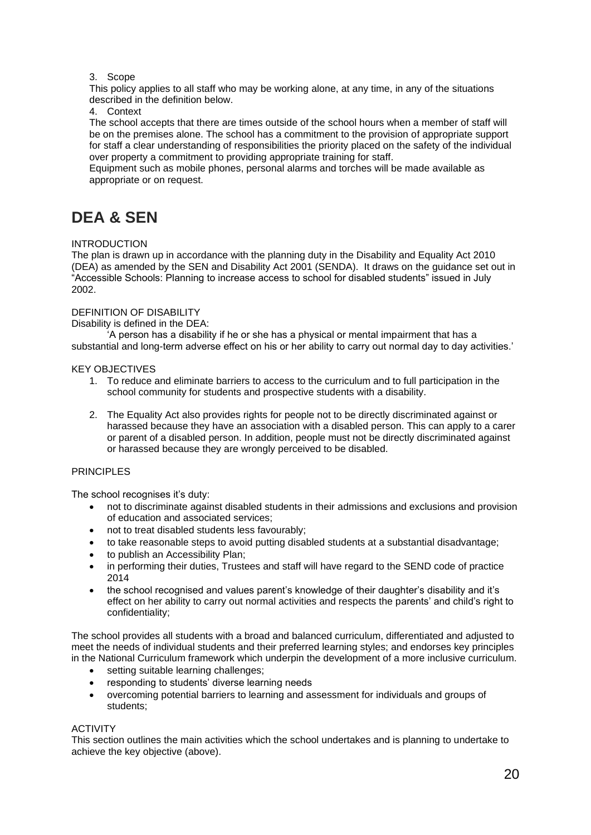#### 3. Scope

This policy applies to all staff who may be working alone, at any time, in any of the situations described in the definition below.

#### 4. Context

The school accepts that there are times outside of the school hours when a member of staff will be on the premises alone. The school has a commitment to the provision of appropriate support for staff a clear understanding of responsibilities the priority placed on the safety of the individual over property a commitment to providing appropriate training for staff.

Equipment such as mobile phones, personal alarms and torches will be made available as appropriate or on request.

## **DEA & SEN**

#### INTRODUCTION

The plan is drawn up in accordance with the planning duty in the Disability and Equality Act 2010 (DEA) as amended by the SEN and Disability Act 2001 (SENDA). It draws on the guidance set out in "Accessible Schools: Planning to increase access to school for disabled students" issued in July 2002.

#### DEFINITION OF DISABILITY

#### Disability is defined in the DEA:

'A person has a disability if he or she has a physical or mental impairment that has a substantial and long-term adverse effect on his or her ability to carry out normal day to day activities.'

#### KEY OBJECTIVES

- 1. To reduce and eliminate barriers to access to the curriculum and to full participation in the school community for students and prospective students with a disability.
- 2. The Equality Act also provides rights for people not to be directly discriminated against or harassed because they have an association with a disabled person. This can apply to a carer or parent of a disabled person. In addition, people must not be directly discriminated against or harassed because they are wrongly perceived to be disabled.

#### PRINCIPI FS

The school recognises it's duty:

- not to discriminate against disabled students in their admissions and exclusions and provision of education and associated services;
- not to treat disabled students less favourably;
- to take reasonable steps to avoid putting disabled students at a substantial disadvantage;
- to publish an Accessibility Plan;
- in performing their duties, Trustees and staff will have regard to the SEND code of practice 2014
- the school recognised and values parent's knowledge of their daughter's disability and it's effect on her ability to carry out normal activities and respects the parents' and child's right to confidentiality;

The school provides all students with a broad and balanced curriculum, differentiated and adjusted to meet the needs of individual students and their preferred learning styles; and endorses key principles in the National Curriculum framework which underpin the development of a more inclusive curriculum.

- setting suitable learning challenges:
- responding to students' diverse learning needs
- overcoming potential barriers to learning and assessment for individuals and groups of students;

#### ACTIVITY

This section outlines the main activities which the school undertakes and is planning to undertake to achieve the key objective (above).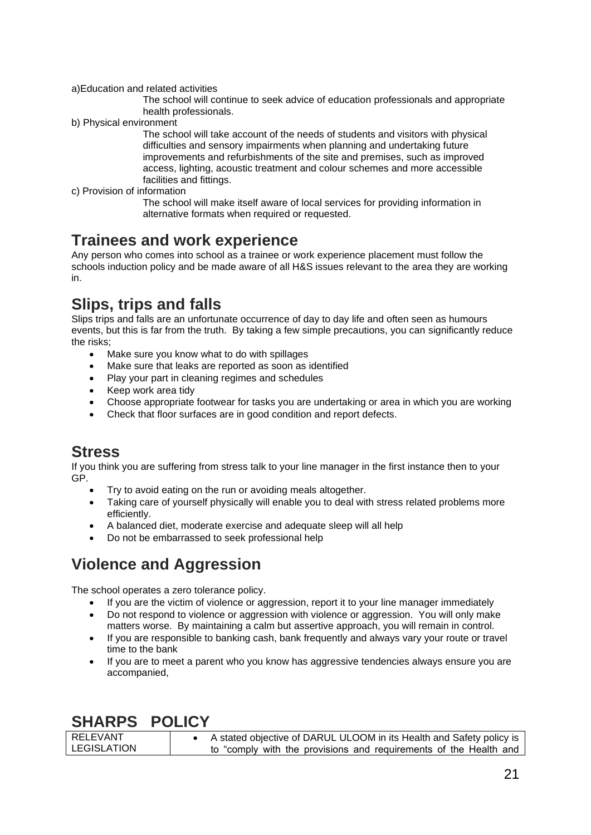a)Education and related activities

The school will continue to seek advice of education professionals and appropriate health professionals.

b) Physical environment

The school will take account of the needs of students and visitors with physical difficulties and sensory impairments when planning and undertaking future improvements and refurbishments of the site and premises, such as improved access, lighting, acoustic treatment and colour schemes and more accessible facilities and fittings.

c) Provision of information

The school will make itself aware of local services for providing information in alternative formats when required or requested.

## **Trainees and work experience**

Any person who comes into school as a trainee or work experience placement must follow the schools induction policy and be made aware of all H&S issues relevant to the area they are working in.

## **Slips, trips and falls**

Slips trips and falls are an unfortunate occurrence of day to day life and often seen as humours events, but this is far from the truth. By taking a few simple precautions, you can significantly reduce the risks;

- Make sure you know what to do with spillages
- Make sure that leaks are reported as soon as identified
- Play your part in cleaning regimes and schedules
- Keep work area tidy
- Choose appropriate footwear for tasks you are undertaking or area in which you are working
- Check that floor surfaces are in good condition and report defects.

## **Stress**

If you think you are suffering from stress talk to your line manager in the first instance then to your GP.

- Try to avoid eating on the run or avoiding meals altogether.
- Taking care of yourself physically will enable you to deal with stress related problems more efficiently.
- A balanced diet, moderate exercise and adequate sleep will all help
- Do not be embarrassed to seek professional help

## **Violence and Aggression**

The school operates a zero tolerance policy.

- If you are the victim of violence or aggression, report it to your line manager immediately
- Do not respond to violence or aggression with violence or aggression. You will only make matters worse. By maintaining a calm but assertive approach, you will remain in control.
- If you are responsible to banking cash, bank frequently and always vary your route or travel time to the bank
- If you are to meet a parent who you know has aggressive tendencies always ensure you are accompanied,

## **SHARPS POLICY**

| RELEVANT           | A stated objective of DARUL ULOOM in its Health and Safety policy is |
|--------------------|----------------------------------------------------------------------|
| <b>LEGISLATION</b> | to "comply with the provisions and requirements of the Health and    |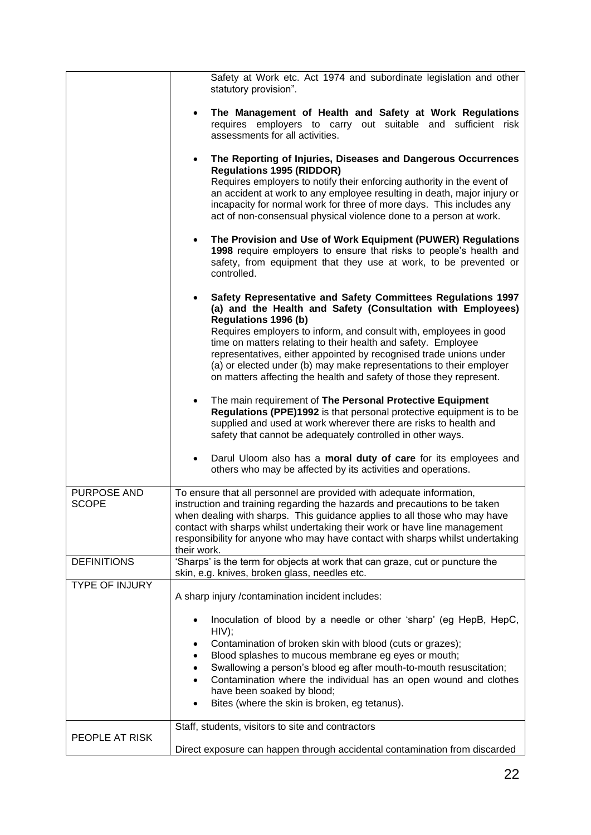|                             | Safety at Work etc. Act 1974 and subordinate legislation and other<br>statutory provision".                                                                                                                                                                                                                                                                                                                                                                                                                                |  |
|-----------------------------|----------------------------------------------------------------------------------------------------------------------------------------------------------------------------------------------------------------------------------------------------------------------------------------------------------------------------------------------------------------------------------------------------------------------------------------------------------------------------------------------------------------------------|--|
|                             | The Management of Health and Safety at Work Regulations<br>requires employers to carry out suitable and sufficient risk<br>assessments for all activities.                                                                                                                                                                                                                                                                                                                                                                 |  |
|                             | The Reporting of Injuries, Diseases and Dangerous Occurrences<br>$\bullet$<br><b>Regulations 1995 (RIDDOR)</b><br>Requires employers to notify their enforcing authority in the event of<br>an accident at work to any employee resulting in death, major injury or<br>incapacity for normal work for three of more days. This includes any<br>act of non-consensual physical violence done to a person at work.                                                                                                           |  |
|                             | The Provision and Use of Work Equipment (PUWER) Regulations<br>$\bullet$<br>1998 require employers to ensure that risks to people's health and<br>safety, from equipment that they use at work, to be prevented or<br>controlled.                                                                                                                                                                                                                                                                                          |  |
|                             | Safety Representative and Safety Committees Regulations 1997<br>$\bullet$<br>(a) and the Health and Safety (Consultation with Employees)<br>Regulations 1996 (b)<br>Requires employers to inform, and consult with, employees in good<br>time on matters relating to their health and safety. Employee<br>representatives, either appointed by recognised trade unions under<br>(a) or elected under (b) may make representations to their employer<br>on matters affecting the health and safety of those they represent. |  |
|                             | The main requirement of The Personal Protective Equipment<br>$\bullet$<br>Regulations (PPE)1992 is that personal protective equipment is to be<br>supplied and used at work wherever there are risks to health and<br>safety that cannot be adequately controlled in other ways.                                                                                                                                                                                                                                           |  |
|                             | Darul Uloom also has a moral duty of care for its employees and<br>$\bullet$<br>others who may be affected by its activities and operations.                                                                                                                                                                                                                                                                                                                                                                               |  |
| PURPOSE AND<br><b>SCOPE</b> | To ensure that all personnel are provided with adequate information,<br>instruction and training regarding the hazards and precautions to be taken<br>when dealing with sharps. This guidance applies to all those who may have<br>contact with sharps whilst undertaking their work or have line management<br>responsibility for anyone who may have contact with sharps whilst undertaking<br>their work.                                                                                                               |  |
| <b>DEFINITIONS</b>          | 'Sharps' is the term for objects at work that can graze, cut or puncture the<br>skin, e.g. knives, broken glass, needles etc.                                                                                                                                                                                                                                                                                                                                                                                              |  |
| <b>TYPE OF INJURY</b>       | A sharp injury /contamination incident includes:                                                                                                                                                                                                                                                                                                                                                                                                                                                                           |  |
|                             | Inoculation of blood by a needle or other 'sharp' (eg HepB, HepC,<br>HIV);<br>Contamination of broken skin with blood (cuts or grazes);<br>$\bullet$<br>Blood splashes to mucous membrane eg eyes or mouth;<br>$\bullet$<br>Swallowing a person's blood eg after mouth-to-mouth resuscitation;<br>$\bullet$<br>Contamination where the individual has an open wound and clothes<br>$\bullet$<br>have been soaked by blood;<br>Bites (where the skin is broken, eg tetanus).<br>$\bullet$                                   |  |
| PEOPLE AT RISK              | Staff, students, visitors to site and contractors<br>Direct exposure can happen through accidental contamination from discarded                                                                                                                                                                                                                                                                                                                                                                                            |  |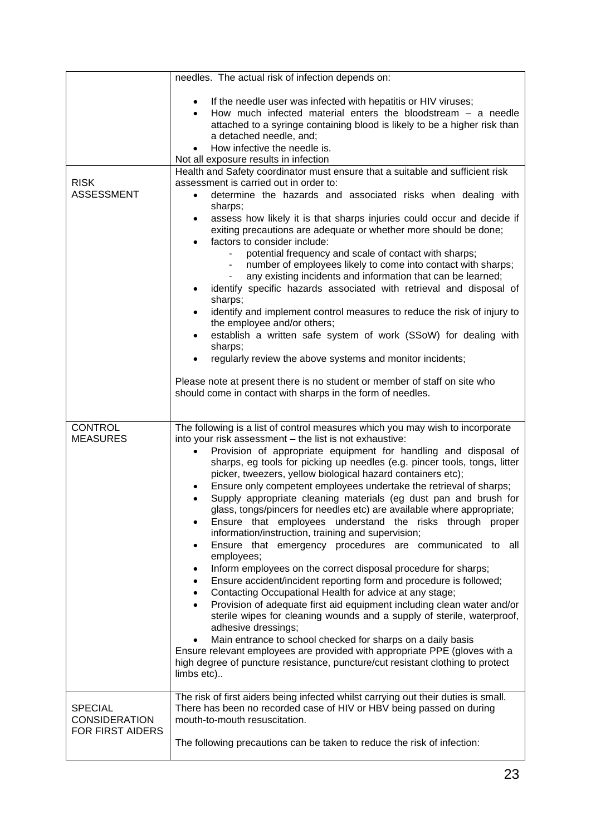|                                                            | needles. The actual risk of infection depends on:                                                                                                                                                                                                                                                                                                                                                                                                                                                                                                                                                                                                                                                                                                                                                                                                                                                                                                                                                                                                                                                                                                                                                                                                                                                                                                                                                                                                  |
|------------------------------------------------------------|----------------------------------------------------------------------------------------------------------------------------------------------------------------------------------------------------------------------------------------------------------------------------------------------------------------------------------------------------------------------------------------------------------------------------------------------------------------------------------------------------------------------------------------------------------------------------------------------------------------------------------------------------------------------------------------------------------------------------------------------------------------------------------------------------------------------------------------------------------------------------------------------------------------------------------------------------------------------------------------------------------------------------------------------------------------------------------------------------------------------------------------------------------------------------------------------------------------------------------------------------------------------------------------------------------------------------------------------------------------------------------------------------------------------------------------------------|
|                                                            | If the needle user was infected with hepatitis or HIV viruses;<br>How much infected material enters the bloodstream $-$ a needle<br>attached to a syringe containing blood is likely to be a higher risk than<br>a detached needle, and;<br>How infective the needle is.<br>Not all exposure results in infection                                                                                                                                                                                                                                                                                                                                                                                                                                                                                                                                                                                                                                                                                                                                                                                                                                                                                                                                                                                                                                                                                                                                  |
|                                                            | Health and Safety coordinator must ensure that a suitable and sufficient risk                                                                                                                                                                                                                                                                                                                                                                                                                                                                                                                                                                                                                                                                                                                                                                                                                                                                                                                                                                                                                                                                                                                                                                                                                                                                                                                                                                      |
| <b>RISK</b><br><b>ASSESSMENT</b>                           | assessment is carried out in order to:<br>determine the hazards and associated risks when dealing with<br>sharps;<br>assess how likely it is that sharps injuries could occur and decide if<br>exiting precautions are adequate or whether more should be done;<br>factors to consider include:<br>potential frequency and scale of contact with sharps;<br>number of employees likely to come into contact with sharps;<br>any existing incidents and information that can be learned;<br>identify specific hazards associated with retrieval and disposal of<br>sharps;<br>identify and implement control measures to reduce the risk of injury to<br>$\bullet$<br>the employee and/or others;<br>establish a written safe system of work (SSoW) for dealing with<br>$\bullet$<br>sharps;<br>regularly review the above systems and monitor incidents;                                                                                                                                                                                                                                                                                                                                                                                                                                                                                                                                                                                           |
|                                                            | Please note at present there is no student or member of staff on site who<br>should come in contact with sharps in the form of needles.                                                                                                                                                                                                                                                                                                                                                                                                                                                                                                                                                                                                                                                                                                                                                                                                                                                                                                                                                                                                                                                                                                                                                                                                                                                                                                            |
| <b>CONTROL</b><br><b>MEASURES</b>                          | The following is a list of control measures which you may wish to incorporate<br>into your risk assessment - the list is not exhaustive:<br>Provision of appropriate equipment for handling and disposal of<br>sharps, eg tools for picking up needles (e.g. pincer tools, tongs, litter<br>picker, tweezers, yellow biological hazard containers etc);<br>Ensure only competent employees undertake the retrieval of sharps;<br>Supply appropriate cleaning materials (eg dust pan and brush for<br>glass, tongs/pincers for needles etc) are available where appropriate;<br>Ensure that employees understand the risks through proper<br>information/instruction, training and supervision;<br>Ensure that emergency procedures are communicated to<br>all<br>٠<br>employees;<br>Inform employees on the correct disposal procedure for sharps;<br>$\bullet$<br>Ensure accident/incident reporting form and procedure is followed;<br>$\bullet$<br>Contacting Occupational Health for advice at any stage;<br>$\bullet$<br>Provision of adequate first aid equipment including clean water and/or<br>sterile wipes for cleaning wounds and a supply of sterile, waterproof,<br>adhesive dressings;<br>Main entrance to school checked for sharps on a daily basis<br>Ensure relevant employees are provided with appropriate PPE (gloves with a<br>high degree of puncture resistance, puncture/cut resistant clothing to protect<br>limbs etc) |
| <b>SPECIAL</b><br><b>CONSIDERATION</b><br>FOR FIRST AIDERS | The risk of first aiders being infected whilst carrying out their duties is small.<br>There has been no recorded case of HIV or HBV being passed on during<br>mouth-to-mouth resuscitation.<br>The following precautions can be taken to reduce the risk of infection:                                                                                                                                                                                                                                                                                                                                                                                                                                                                                                                                                                                                                                                                                                                                                                                                                                                                                                                                                                                                                                                                                                                                                                             |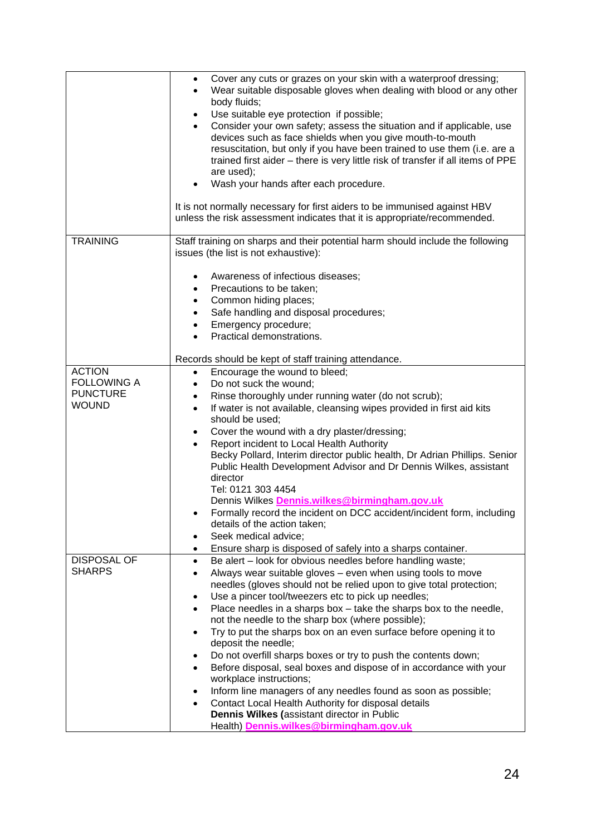|                                       | Cover any cuts or grazes on your skin with a waterproof dressing;<br>$\bullet$<br>Wear suitable disposable gloves when dealing with blood or any other<br>$\bullet$<br>body fluids;<br>Use suitable eye protection if possible;<br>$\bullet$<br>Consider your own safety; assess the situation and if applicable, use<br>$\bullet$<br>devices such as face shields when you give mouth-to-mouth<br>resuscitation, but only if you have been trained to use them (i.e. are a<br>trained first aider - there is very little risk of transfer if all items of PPE<br>are used);<br>Wash your hands after each procedure.<br>It is not normally necessary for first aiders to be immunised against HBV<br>unless the risk assessment indicates that it is appropriate/recommended. |
|---------------------------------------|--------------------------------------------------------------------------------------------------------------------------------------------------------------------------------------------------------------------------------------------------------------------------------------------------------------------------------------------------------------------------------------------------------------------------------------------------------------------------------------------------------------------------------------------------------------------------------------------------------------------------------------------------------------------------------------------------------------------------------------------------------------------------------|
| <b>TRAINING</b>                       | Staff training on sharps and their potential harm should include the following<br>issues (the list is not exhaustive):<br>Awareness of infectious diseases;<br>$\bullet$<br>Precautions to be taken;<br>$\bullet$<br>Common hiding places;<br>$\bullet$<br>Safe handling and disposal procedures;<br>$\bullet$<br>Emergency procedure;<br>$\bullet$<br>Practical demonstrations.<br>$\bullet$<br>Records should be kept of staff training attendance.                                                                                                                                                                                                                                                                                                                          |
| <b>ACTION</b>                         | Encourage the wound to bleed;<br>$\bullet$                                                                                                                                                                                                                                                                                                                                                                                                                                                                                                                                                                                                                                                                                                                                     |
| <b>FOLLOWING A</b><br><b>PUNCTURE</b> | Do not suck the wound;<br>$\bullet$                                                                                                                                                                                                                                                                                                                                                                                                                                                                                                                                                                                                                                                                                                                                            |
| <b>WOUND</b>                          | Rinse thoroughly under running water (do not scrub);<br>$\bullet$<br>If water is not available, cleansing wipes provided in first aid kits<br>$\bullet$                                                                                                                                                                                                                                                                                                                                                                                                                                                                                                                                                                                                                        |
|                                       | should be used;                                                                                                                                                                                                                                                                                                                                                                                                                                                                                                                                                                                                                                                                                                                                                                |
|                                       | Cover the wound with a dry plaster/dressing;<br>$\bullet$                                                                                                                                                                                                                                                                                                                                                                                                                                                                                                                                                                                                                                                                                                                      |
|                                       | Report incident to Local Health Authority<br>$\bullet$                                                                                                                                                                                                                                                                                                                                                                                                                                                                                                                                                                                                                                                                                                                         |
|                                       | Becky Pollard, Interim director public health, Dr Adrian Phillips. Senior<br>Public Health Development Advisor and Dr Dennis Wilkes, assistant                                                                                                                                                                                                                                                                                                                                                                                                                                                                                                                                                                                                                                 |
|                                       | director                                                                                                                                                                                                                                                                                                                                                                                                                                                                                                                                                                                                                                                                                                                                                                       |
|                                       | Tel: 0121 303 4454                                                                                                                                                                                                                                                                                                                                                                                                                                                                                                                                                                                                                                                                                                                                                             |
|                                       | Dennis Wilkes Dennis.wilkes@birmingham.gov.uk                                                                                                                                                                                                                                                                                                                                                                                                                                                                                                                                                                                                                                                                                                                                  |
|                                       | Formally record the incident on DCC accident/incident form, including<br>details of the action taken;                                                                                                                                                                                                                                                                                                                                                                                                                                                                                                                                                                                                                                                                          |
|                                       | Seek medical advice;<br>$\bullet$                                                                                                                                                                                                                                                                                                                                                                                                                                                                                                                                                                                                                                                                                                                                              |
|                                       | Ensure sharp is disposed of safely into a sharps container.                                                                                                                                                                                                                                                                                                                                                                                                                                                                                                                                                                                                                                                                                                                    |
| <b>DISPOSAL OF</b>                    | Be alert - look for obvious needles before handling waste;<br>$\bullet$                                                                                                                                                                                                                                                                                                                                                                                                                                                                                                                                                                                                                                                                                                        |
| <b>SHARPS</b>                         | Always wear suitable gloves - even when using tools to move                                                                                                                                                                                                                                                                                                                                                                                                                                                                                                                                                                                                                                                                                                                    |
|                                       | needles (gloves should not be relied upon to give total protection;<br>Use a pincer tool/tweezers etc to pick up needles;<br>$\bullet$                                                                                                                                                                                                                                                                                                                                                                                                                                                                                                                                                                                                                                         |
|                                       | Place needles in a sharps box - take the sharps box to the needle,<br>$\bullet$                                                                                                                                                                                                                                                                                                                                                                                                                                                                                                                                                                                                                                                                                                |
|                                       | not the needle to the sharp box (where possible);                                                                                                                                                                                                                                                                                                                                                                                                                                                                                                                                                                                                                                                                                                                              |
|                                       | Try to put the sharps box on an even surface before opening it to<br>٠                                                                                                                                                                                                                                                                                                                                                                                                                                                                                                                                                                                                                                                                                                         |
|                                       | deposit the needle;<br>Do not overfill sharps boxes or try to push the contents down;<br>$\bullet$                                                                                                                                                                                                                                                                                                                                                                                                                                                                                                                                                                                                                                                                             |
|                                       | Before disposal, seal boxes and dispose of in accordance with your<br>٠<br>workplace instructions;                                                                                                                                                                                                                                                                                                                                                                                                                                                                                                                                                                                                                                                                             |
|                                       | Inform line managers of any needles found as soon as possible;<br>٠                                                                                                                                                                                                                                                                                                                                                                                                                                                                                                                                                                                                                                                                                                            |
|                                       | Contact Local Health Authority for disposal details<br>$\bullet$                                                                                                                                                                                                                                                                                                                                                                                                                                                                                                                                                                                                                                                                                                               |
|                                       | Dennis Wilkes (assistant director in Public                                                                                                                                                                                                                                                                                                                                                                                                                                                                                                                                                                                                                                                                                                                                    |
|                                       | Health) Dennis.wilkes@birmingham.gov.uk                                                                                                                                                                                                                                                                                                                                                                                                                                                                                                                                                                                                                                                                                                                                        |